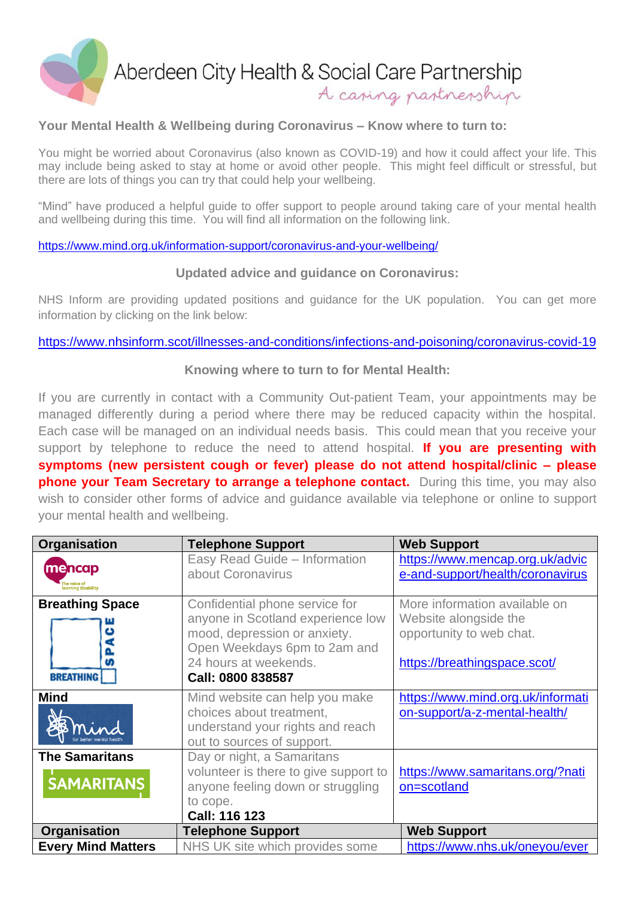

## **Your Mental Health & Wellbeing during Coronavirus – Know where to turn to:**

You might be worried about Coronavirus (also known as COVID-19) and how it could affect your life. This may include being asked to stay at home or avoid other people. This might feel difficult or stressful, but there are lots of things you can try that could help your wellbeing.

"Mind" have produced a helpful guide to offer support to people around taking care of your mental health and wellbeing during this time. You will find all information on the following link.

<https://www.mind.org.uk/information-support/coronavirus-and-your-wellbeing/>

## **Updated advice and guidance on Coronavirus:**

NHS Inform are providing updated positions and guidance for the UK population. You can get more information by clicking on the link below:

## <https://www.nhsinform.scot/illnesses-and-conditions/infections-and-poisoning/coronavirus-covid-19>

## **Knowing where to turn to for Mental Health:**

If you are currently in contact with a Community Out-patient Team, your appointments may be managed differently during a period where there may be reduced capacity within the hospital. Each case will be managed on an individual needs basis. This could mean that you receive your support by telephone to reduce the need to attend hospital. **If you are presenting with symptoms (new persistent cough or fever) please do not attend hospital/clinic – please phone your Team Secretary to arrange a telephone contact.** During this time, you may also wish to consider other forms of advice and quidance available via telephone or online to support your mental health and wellbeing.

| Organisation                                         | <b>Telephone Support</b>                                                                                                                                                          | <b>Web Support</b>                                                                                                 |
|------------------------------------------------------|-----------------------------------------------------------------------------------------------------------------------------------------------------------------------------------|--------------------------------------------------------------------------------------------------------------------|
| <b>mencap</b><br>The voice of<br>learning disability | Easy Read Guide - Information<br>about Coronavirus                                                                                                                                | https://www.mencap.org.uk/advic<br>e-and-support/health/coronavirus                                                |
| <b>Breathing Space</b><br><b>BREATHING</b>           | Confidential phone service for<br>anyone in Scotland experience low<br>mood, depression or anxiety.<br>Open Weekdays 6pm to 2am and<br>24 hours at weekends.<br>Call: 0800 838587 | More information available on<br>Website alongside the<br>opportunity to web chat.<br>https://breathingspace.scot/ |
| <b>Mind</b>                                          | Mind website can help you make<br>choices about treatment,<br>understand your rights and reach<br>out to sources of support.                                                      | https://www.mind.org.uk/informati<br>on-support/a-z-mental-health/                                                 |
| <b>The Samaritans</b><br><b>SAMARITANS</b>           | Day or night, a Samaritans<br>volunteer is there to give support to<br>anyone feeling down or struggling<br>to cope.<br><b>Call: 116 123</b>                                      | https://www.samaritans.org/?nati<br>on=scotland                                                                    |
| Organisation                                         | <b>Telephone Support</b>                                                                                                                                                          | <b>Web Support</b>                                                                                                 |
| <b>Every Mind Matters</b>                            | NHS UK site which provides some                                                                                                                                                   | https://www.nhs.uk/oneyou/ever                                                                                     |